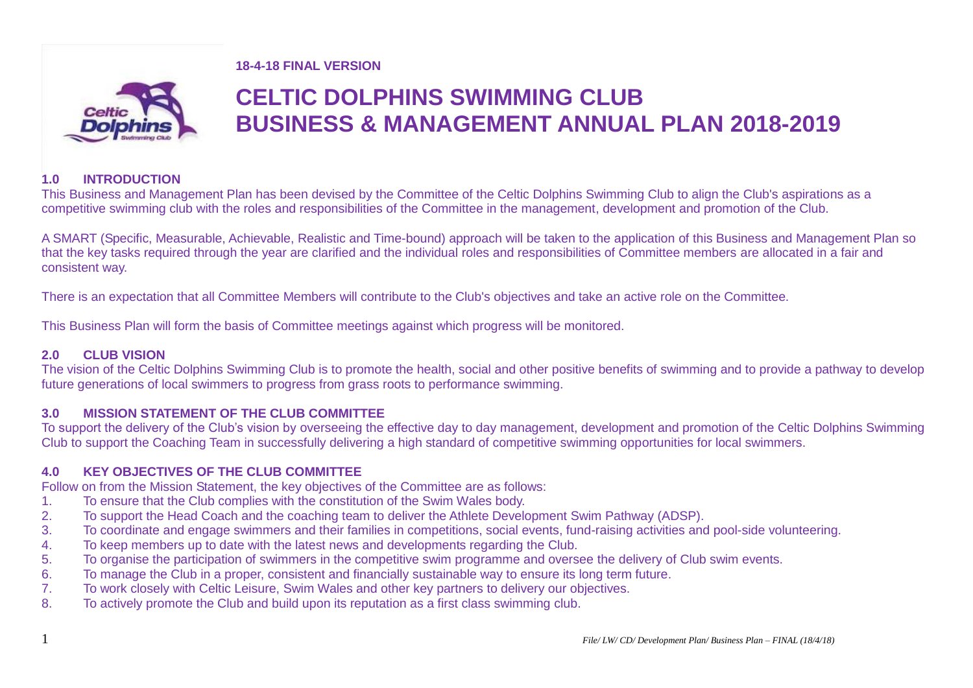#### **18-4-18 FINAL VERSION**



# **CELTIC DOLPHINS SWIMMING CLUB BUSINESS & MANAGEMENT ANNUAL PLAN 2018-2019**

# **1.0 INTRODUCTION**

This Business and Management Plan has been devised by the Committee of the Celtic Dolphins Swimming Club to align the Club's aspirations as a competitive swimming club with the roles and responsibilities of the Committee in the management, development and promotion of the Club.

A SMART (Specific, Measurable, Achievable, Realistic and Time-bound) approach will be taken to the application of this Business and Management Plan so that the key tasks required through the year are clarified and the individual roles and responsibilities of Committee members are allocated in a fair and consistent way.

There is an expectation that all Committee Members will contribute to the Club's objectives and take an active role on the Committee.

This Business Plan will form the basis of Committee meetings against which progress will be monitored.

# **2.0 CLUB VISION**

The vision of the Celtic Dolphins Swimming Club is to promote the health, social and other positive benefits of swimming and to provide a pathway to develop future generations of local swimmers to progress from grass roots to performance swimming.

# **3.0 MISSION STATEMENT OF THE CLUB COMMITTEE**

To support the delivery of the Club's vision by overseeing the effective day to day management, development and promotion of the Celtic Dolphins Swimming Club to support the Coaching Team in successfully delivering a high standard of competitive swimming opportunities for local swimmers.

# **4.0 KEY OBJECTIVES OF THE CLUB COMMITTEE**

Follow on from the Mission Statement, the key objectives of the Committee are as follows:

- 1. To ensure that the Club complies with the constitution of the Swim Wales body.
- 2. To support the Head Coach and the coaching team to deliver the Athlete Development Swim Pathway (ADSP).
- 3. To coordinate and engage swimmers and their families in competitions, social events, fund-raising activities and pool-side volunteering.
- 4. To keep members up to date with the latest news and developments regarding the Club.
- 5. To organise the participation of swimmers in the competitive swim programme and oversee the delivery of Club swim events.
- 6. To manage the Club in a proper, consistent and financially sustainable way to ensure its long term future.
- 7. To work closely with Celtic Leisure, Swim Wales and other key partners to delivery our objectives.
- 8. To actively promote the Club and build upon its reputation as a first class swimming club.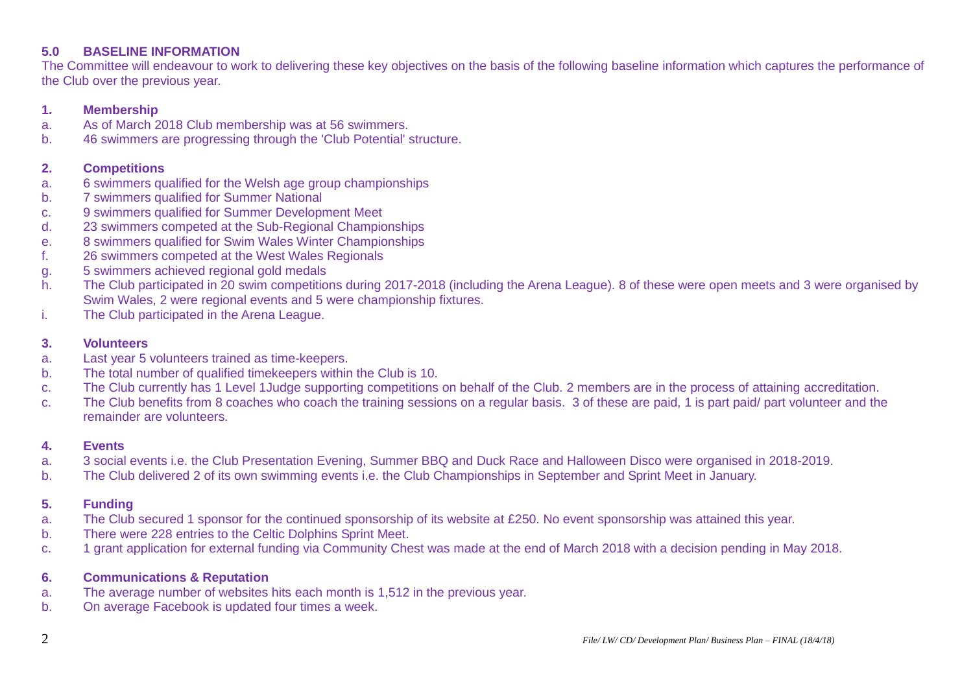# **5.0 BASELINE INFORMATION**

The Committee will endeavour to work to delivering these key objectives on the basis of the following baseline information which captures the performance of the Club over the previous year.

## **1. Membership**

- a. As of March 2018 Club membership was at 56 swimmers.
- b. 46 swimmers are progressing through the 'Club Potential' structure.

#### **2. Competitions**

- a. 6 swimmers qualified for the Welsh age group championships
- b. 7 swimmers qualified for Summer National
- c. 9 swimmers qualified for Summer Development Meet
- d. 23 swimmers competed at the Sub-Regional Championships
- e. 8 swimmers qualified for Swim Wales Winter Championships
- f. 26 swimmers competed at the West Wales Regionals
- g. 5 swimmers achieved regional gold medals
- h. The Club participated in 20 swim competitions during 2017-2018 (including the Arena League). 8 of these were open meets and 3 were organised by Swim Wales, 2 were regional events and 5 were championship fixtures.
- i. The Club participated in the Arena League.

## **3. Volunteers**

- a. Last year 5 volunteers trained as time-keepers.
- b. The total number of qualified timekeepers within the Club is 10.
- c. The Club currently has 1 Level 1Judge supporting competitions on behalf of the Club. 2 members are in the process of attaining accreditation.
- c. The Club benefits from 8 coaches who coach the training sessions on a regular basis. 3 of these are paid, 1 is part paid/ part volunteer and the remainder are volunteers.

#### **4. Events**

- a. 3 social events i.e. the Club Presentation Evening, Summer BBQ and Duck Race and Halloween Disco were organised in 2018-2019.
- b. The Club delivered 2 of its own swimming events i.e. the Club Championships in September and Sprint Meet in January.

# **5. Funding**

- a. The Club secured 1 sponsor for the continued sponsorship of its website at £250. No event sponsorship was attained this year.
- b. There were 228 entries to the Celtic Dolphins Sprint Meet.
- c. 1 grant application for external funding via Community Chest was made at the end of March 2018 with a decision pending in May 2018.

### **6. Communications & Reputation**

- a. The average number of websites hits each month is 1,512 in the previous year.
- b. On average Facebook is updated four times a week.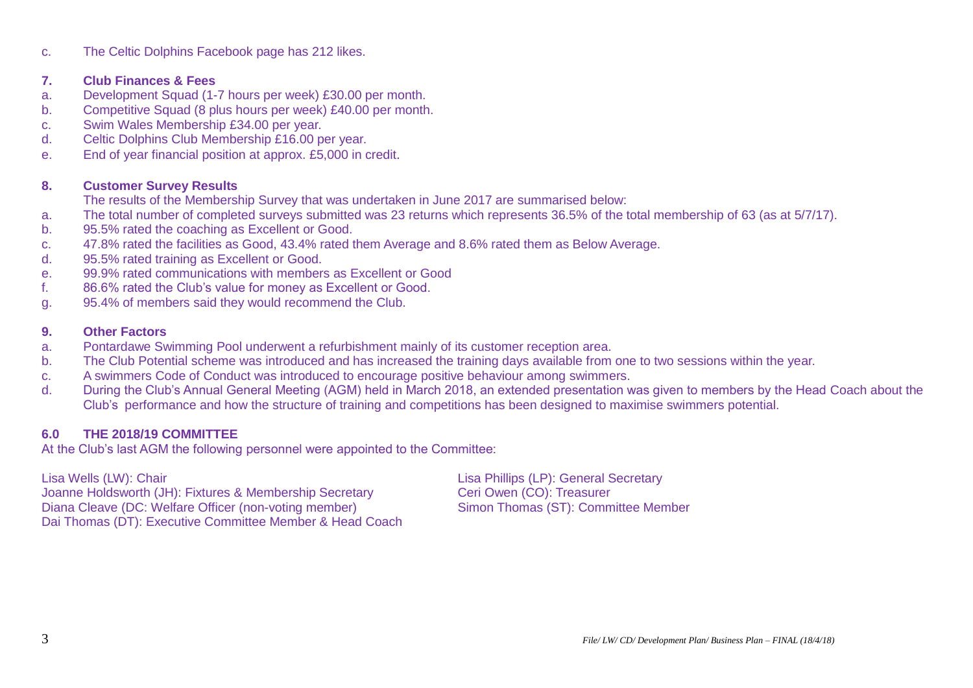c. The Celtic Dolphins Facebook page has 212 likes.

# **7. Club Finances & Fees**

- a. Development Squad (1-7 hours per week) £30.00 per month.
- b. Competitive Squad (8 plus hours per week) £40.00 per month.
- c. Swim Wales Membership £34.00 per year.
- d. Celtic Dolphins Club Membership £16.00 per year.
- e. End of year financial position at approx. £5,000 in credit.

# **8. Customer Survey Results**

The results of the Membership Survey that was undertaken in June 2017 are summarised below:

- a. The total number of completed surveys submitted was 23 returns which represents 36.5% of the total membership of 63 (as at 5/7/17).
- b. 95.5% rated the coaching as Excellent or Good.
- c. 47.8% rated the facilities as Good, 43.4% rated them Average and 8.6% rated them as Below Average.
- d. 95.5% rated training as Excellent or Good.
- e. 99.9% rated communications with members as Excellent or Good
- f. 86.6% rated the Club's value for money as Excellent or Good.
- g. 95.4% of members said they would recommend the Club.

## **9. Other Factors**

- a. Pontardawe Swimming Pool underwent a refurbishment mainly of its customer reception area.
- b. The Club Potential scheme was introduced and has increased the training days available from one to two sessions within the year.
- c. A swimmers Code of Conduct was introduced to encourage positive behaviour among swimmers.
- d. During the Club's Annual General Meeting (AGM) held in March 2018, an extended presentation was given to members by the Head Coach about the Club's performance and how the structure of training and competitions has been designed to maximise swimmers potential.

# **6.0 THE 2018/19 COMMITTEE**

At the Club's last AGM the following personnel were appointed to the Committee:

Lisa Wells (LW): Chair <br>
Joanne Holdsworth (JH): Fixtures & Membership Secretary 
Lisa Phillips (LP): General Secretary<br>
Ceri Owen (CO): Treasurer Joanne Holdsworth (JH): Fixtures & Membership Secretary Diana Cleave (DC: Welfare Officer (non-voting member) Simon Thomas (ST): Committee Member Dai Thomas (DT): Executive Committee Member & Head Coach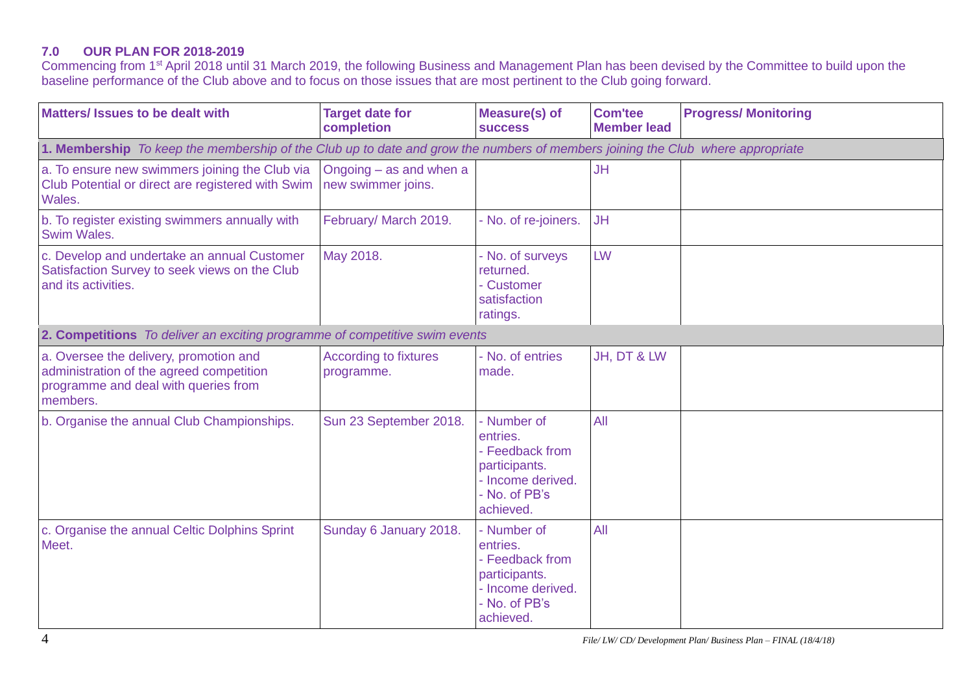# **7.0 OUR PLAN FOR 2018-2019**

Commencing from 1<sup>st</sup> April 2018 until 31 March 2019, the following Business and Management Plan has been devised by the Committee to build upon the baseline performance of the Club above and to focus on those issues that are most pertinent to the Club going forward.

| <b>Matters/ Issues to be dealt with</b>                                                                                                | <b>Target date for</b><br>completion          | <b>Measure(s) of</b><br><b>SUCCESS</b>                                                                         | <b>Com'tee</b><br><b>Member lead</b> | <b>Progress/ Monitoring</b> |
|----------------------------------------------------------------------------------------------------------------------------------------|-----------------------------------------------|----------------------------------------------------------------------------------------------------------------|--------------------------------------|-----------------------------|
| 1. Membership To keep the membership of the Club up to date and grow the numbers of members joining the Club where appropriate         |                                               |                                                                                                                |                                      |                             |
| a. To ensure new swimmers joining the Club via<br>Club Potential or direct are registered with Swim<br>Wales.                          | Ongoing - as and when a<br>new swimmer joins. |                                                                                                                | <b>JH</b>                            |                             |
| b. To register existing swimmers annually with<br>Swim Wales.                                                                          | February/ March 2019.                         | - No. of re-joiners.                                                                                           | <b>JH</b>                            |                             |
| c. Develop and undertake an annual Customer<br>Satisfaction Survey to seek views on the Club<br>and its activities.                    | May 2018.                                     | - No. of surveys<br>returned.<br>- Customer<br>satisfaction<br>ratings.                                        | LW                                   |                             |
| 2. Competitions To deliver an exciting programme of competitive swim events                                                            |                                               |                                                                                                                |                                      |                             |
| a. Oversee the delivery, promotion and<br>administration of the agreed competition<br>programme and deal with queries from<br>members. | <b>According to fixtures</b><br>programme.    | - No. of entries<br>made.                                                                                      | JH, DT & LW                          |                             |
| b. Organise the annual Club Championships.                                                                                             | Sun 23 September 2018.                        | - Number of<br>entries.<br>- Feedback from<br>participants.<br>- Income derived.<br>- No. of PB's<br>achieved. | All                                  |                             |
| c. Organise the annual Celtic Dolphins Sprint<br>Meet.                                                                                 | Sunday 6 January 2018.                        | - Number of<br>entries.<br>- Feedback from<br>participants.<br>- Income derived.<br>- No. of PB's<br>achieved. | All                                  |                             |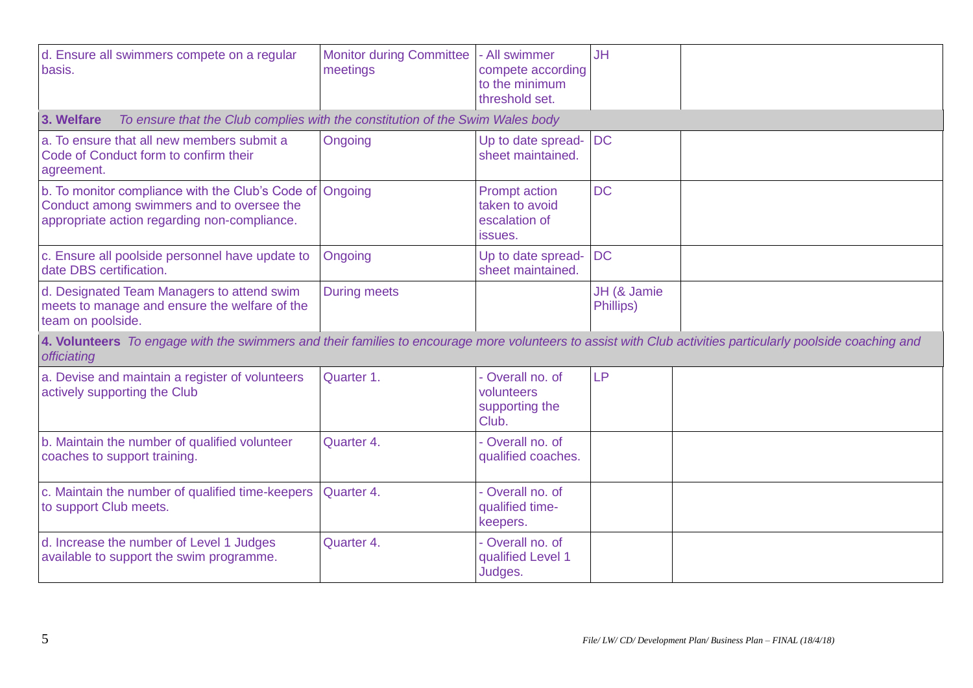| d. Ensure all swimmers compete on a regular<br>basis.                                                                                                                      | <b>Monitor during Committee</b><br>meetings | - All swimmer<br>compete according<br>to the minimum<br>threshold set. | <b>JH</b>                |  |  |  |
|----------------------------------------------------------------------------------------------------------------------------------------------------------------------------|---------------------------------------------|------------------------------------------------------------------------|--------------------------|--|--|--|
| To ensure that the Club complies with the constitution of the Swim Wales body<br>3. Welfare                                                                                |                                             |                                                                        |                          |  |  |  |
| a. To ensure that all new members submit a<br>Code of Conduct form to confirm their<br>agreement.                                                                          | Ongoing                                     | Up to date spread-<br>sheet maintained.                                | <b>DC</b>                |  |  |  |
| b. To monitor compliance with the Club's Code of<br>Conduct among swimmers and to oversee the<br>appropriate action regarding non-compliance.                              | Ongoing                                     | <b>Prompt action</b><br>taken to avoid<br>escalation of<br>issues.     | <b>DC</b>                |  |  |  |
| c. Ensure all poolside personnel have update to<br>date DBS certification.                                                                                                 | Ongoing                                     | Up to date spread-<br>sheet maintained.                                | <b>DC</b>                |  |  |  |
| d. Designated Team Managers to attend swim<br>meets to manage and ensure the welfare of the<br>team on poolside.                                                           | <b>During meets</b>                         |                                                                        | JH (& Jamie<br>Phillips) |  |  |  |
| 4. Volunteers To engage with the swimmers and their families to encourage more volunteers to assist with Club activities particularly poolside coaching and<br>officiating |                                             |                                                                        |                          |  |  |  |
| a. Devise and maintain a register of volunteers<br>actively supporting the Club                                                                                            | Quarter 1.                                  | - Overall no. of<br>volunteers<br>supporting the<br>Club.              | <b>LP</b>                |  |  |  |
| b. Maintain the number of qualified volunteer<br>coaches to support training.                                                                                              | Quarter 4.                                  | - Overall no. of<br>qualified coaches.                                 |                          |  |  |  |
| c. Maintain the number of qualified time-keepers<br>to support Club meets.                                                                                                 | Quarter 4.                                  | - Overall no. of<br>qualified time-<br>keepers.                        |                          |  |  |  |
| d. Increase the number of Level 1 Judges<br>available to support the swim programme.                                                                                       | Quarter 4.                                  | - Overall no. of<br>qualified Level 1<br>Judges.                       |                          |  |  |  |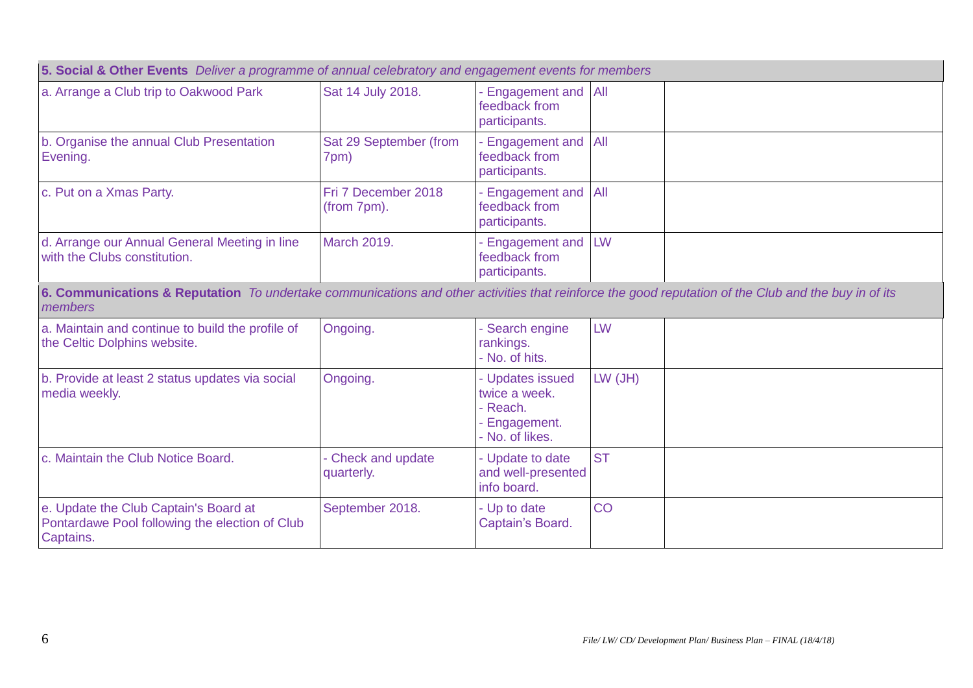| 5. Social & Other Events Deliver a programme of annual celebratory and engagement events for members                                                            |                                    |                                                                                   |                  |  |
|-----------------------------------------------------------------------------------------------------------------------------------------------------------------|------------------------------------|-----------------------------------------------------------------------------------|------------------|--|
| a. Arrange a Club trip to Oakwood Park                                                                                                                          | Sat 14 July 2018.                  | - Engagement and All<br>feedback from<br>participants.                            |                  |  |
| b. Organise the annual Club Presentation<br>Evening.                                                                                                            | Sat 29 September (from<br>7pm)     | <b>Engagement and</b><br>feedback from<br>participants.                           | $\overline{All}$ |  |
| c. Put on a Xmas Party.                                                                                                                                         | Fri 7 December 2018<br>(from 7pm). | - Engagement and<br>feedback from<br>participants.                                | AII              |  |
| d. Arrange our Annual General Meeting in line<br>with the Clubs constitution.                                                                                   | <b>March 2019.</b>                 | - Engagement and<br>feedback from<br>participants.                                | LW               |  |
| 6. Communications & Reputation To undertake communications and other activities that reinforce the good reputation of the Club and the buy in of its<br>members |                                    |                                                                                   |                  |  |
| a. Maintain and continue to build the profile of<br>the Celtic Dolphins website.                                                                                | Ongoing.                           | - Search engine<br>rankings.<br>- No. of hits.                                    | LW               |  |
| b. Provide at least 2 status updates via social<br>media weekly.                                                                                                | Ongoing.                           | - Updates issued<br>twice a week.<br>- Reach.<br>- Engagement.<br>- No. of likes. | $LW$ (JH)        |  |
| c. Maintain the Club Notice Board.                                                                                                                              | - Check and update<br>quarterly.   | - Update to date<br>and well-presented<br>info board.                             | <b>ST</b>        |  |
| e. Update the Club Captain's Board at<br>Pontardawe Pool following the election of Club<br>Captains.                                                            | September 2018.                    | - Up to date<br>Captain's Board.                                                  | CO               |  |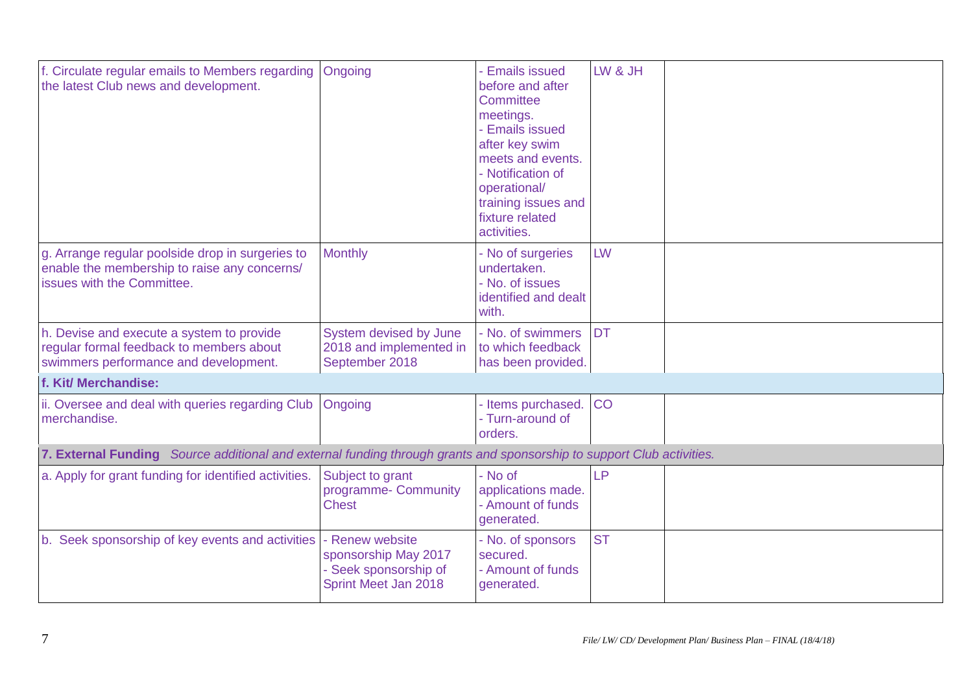| f. Circulate regular emails to Members regarding<br>the latest Club news and development.                                      | Ongoing                                                                                  | <b>Emails issued</b><br>before and after<br><b>Committee</b><br>meetings.<br><b>Emails issued</b><br>after key swim<br>meets and events.<br>- Notification of<br>operational/<br>training issues and<br>fixture related<br>activities. | LW & JH   |  |  |  |
|--------------------------------------------------------------------------------------------------------------------------------|------------------------------------------------------------------------------------------|----------------------------------------------------------------------------------------------------------------------------------------------------------------------------------------------------------------------------------------|-----------|--|--|--|
| g. Arrange regular poolside drop in surgeries to<br>enable the membership to raise any concerns/<br>issues with the Committee. | <b>Monthly</b>                                                                           | - No of surgeries<br>undertaken.<br>- No. of issues<br>identified and dealt<br>with.                                                                                                                                                   | LW        |  |  |  |
| h. Devise and execute a system to provide<br>regular formal feedback to members about<br>swimmers performance and development. | <b>System devised by June</b><br>2018 and implemented in<br>September 2018               | - No. of swimmers<br>to which feedback<br>has been provided.                                                                                                                                                                           | <b>DT</b> |  |  |  |
| f. Kit/ Merchandise:                                                                                                           |                                                                                          |                                                                                                                                                                                                                                        |           |  |  |  |
| ii. Oversee and deal with queries regarding Club<br>merchandise.                                                               | Ongoing                                                                                  | - Items purchased.<br>- Turn-around of<br>orders.                                                                                                                                                                                      | <b>CO</b> |  |  |  |
| 7. External Funding Source additional and external funding through grants and sponsorship to support Club activities.          |                                                                                          |                                                                                                                                                                                                                                        |           |  |  |  |
| a. Apply for grant funding for identified activities.                                                                          | Subject to grant<br>programme- Community<br><b>Chest</b>                                 | - No of<br>applications made.<br>- Amount of funds<br>generated.                                                                                                                                                                       | LP        |  |  |  |
| b. Seek sponsorship of key events and activities                                                                               | - Renew website<br>sponsorship May 2017<br>- Seek sponsorship of<br>Sprint Meet Jan 2018 | - No. of sponsors<br>secured.<br>- Amount of funds<br>generated.                                                                                                                                                                       | <b>ST</b> |  |  |  |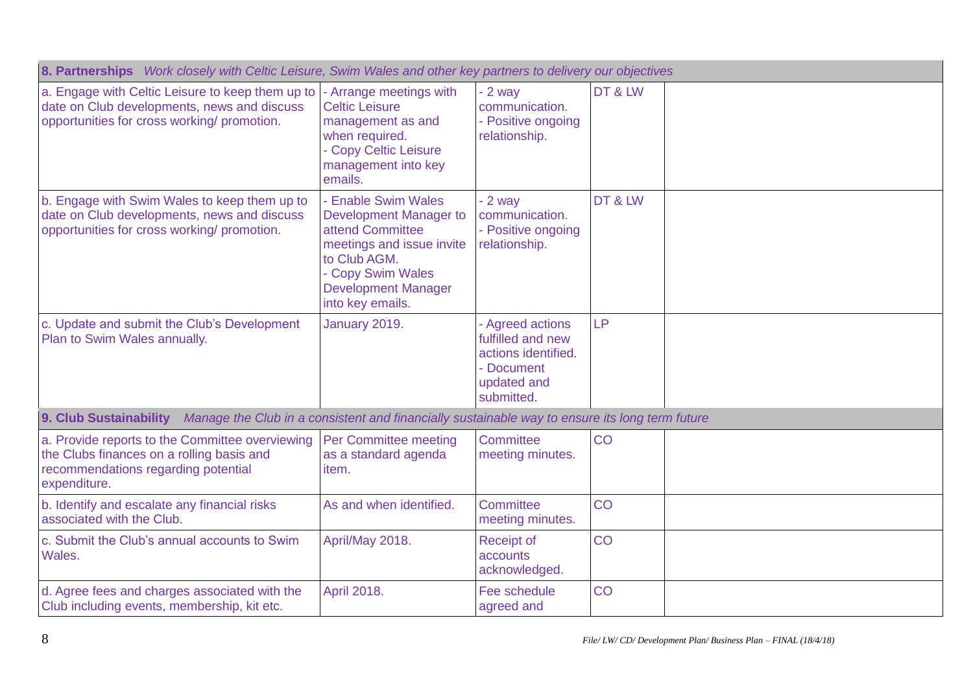| 8. Partnerships Work closely with Celtic Leisure, Swim Wales and other key partners to delivery our objectives                                      |                                                                                                                                                                                       |                                                                                                         |           |  |
|-----------------------------------------------------------------------------------------------------------------------------------------------------|---------------------------------------------------------------------------------------------------------------------------------------------------------------------------------------|---------------------------------------------------------------------------------------------------------|-----------|--|
| a. Engage with Celtic Leisure to keep them up to<br>date on Club developments, news and discuss<br>opportunities for cross working/ promotion.      | - Arrange meetings with<br><b>Celtic Leisure</b><br>management as and<br>when required.<br>- Copy Celtic Leisure<br>management into key<br>emails.                                    | $-2$ way<br>communication.<br>- Positive ongoing<br>relationship.                                       | DT & LW   |  |
| b. Engage with Swim Wales to keep them up to<br>date on Club developments, news and discuss<br>opportunities for cross working/ promotion.          | - Enable Swim Wales<br>Development Manager to<br>attend Committee<br>meetings and issue invite<br>to Club AGM.<br>- Copy Swim Wales<br><b>Development Manager</b><br>into key emails. | $-2$ way<br>communication.<br>- Positive ongoing<br>relationship.                                       | DT&LW     |  |
| c. Update and submit the Club's Development<br>Plan to Swim Wales annually.                                                                         | January 2019.                                                                                                                                                                         | - Agreed actions<br>fulfilled and new<br>actions identified.<br>- Document<br>updated and<br>submitted. | <b>LP</b> |  |
| 9. Club Sustainability<br>Manage the Club in a consistent and financially sustainable way to ensure its long term future                            |                                                                                                                                                                                       |                                                                                                         |           |  |
| a. Provide reports to the Committee overviewing<br>the Clubs finances on a rolling basis and<br>recommendations regarding potential<br>expenditure. | Per Committee meeting<br>as a standard agenda<br>item.                                                                                                                                | Committee<br>meeting minutes.                                                                           | CO        |  |
| b. Identify and escalate any financial risks<br>associated with the Club.                                                                           | As and when identified.                                                                                                                                                               | Committee<br>meeting minutes.                                                                           | CO        |  |
| c. Submit the Club's annual accounts to Swim<br>Wales.                                                                                              | April/May 2018.                                                                                                                                                                       | <b>Receipt of</b><br>accounts<br>acknowledged.                                                          | CO        |  |
| d. Agree fees and charges associated with the<br>Club including events, membership, kit etc.                                                        | <b>April 2018.</b>                                                                                                                                                                    | Fee schedule<br>agreed and                                                                              | CO        |  |